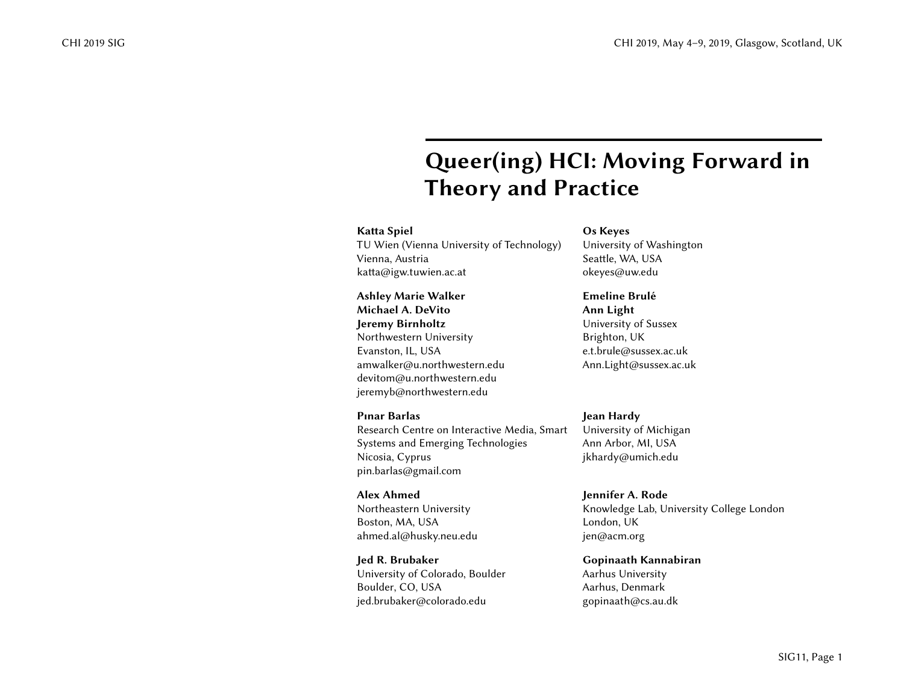# Queer(ing) HCI: Moving Forward in Theory and Practice

#### Katta Spiel

TU Wien (Vienna University of Technology) Vienna, Austria katta@igw.tuwien.ac.at

# Ashley Marie Walker Michael A. DeVito Jeremy Birnholtz Northwestern University Evanston, IL, USA amwalker@u.northwestern.edu devitom@u.northwestern.edu jeremyb@northwestern.edu

Pınar Barlas

Research Centre on Interactive Media, Smart Systems and Emerging Technologies Nicosia, Cyprus pin.barlas@gmail.com

Alex Ahmed Northeastern University Boston, MA, USA ahmed.al@husky.neu.edu

Jed R. Brubaker University of Colorado, Boulder Boulder, CO, USA jed.brubaker@colorado.edu

Os Keyes University of Washington Seattle, WA, USA okeyes@uw.edu

#### Emeline Brulé Ann Light University of Sussex Brighton, UK

e.t.brule@sussex.ac.uk Ann.Light@sussex.ac.uk

# Jean Hardy

University of Michigan Ann Arbor, MI, USA jkhardy@umich.edu

Jennifer A. Rode Knowledge Lab, University College London London, UK jen@acm.org

Gopinaath Kannabiran Aarhus University Aarhus, Denmark gopinaath@cs.au.dk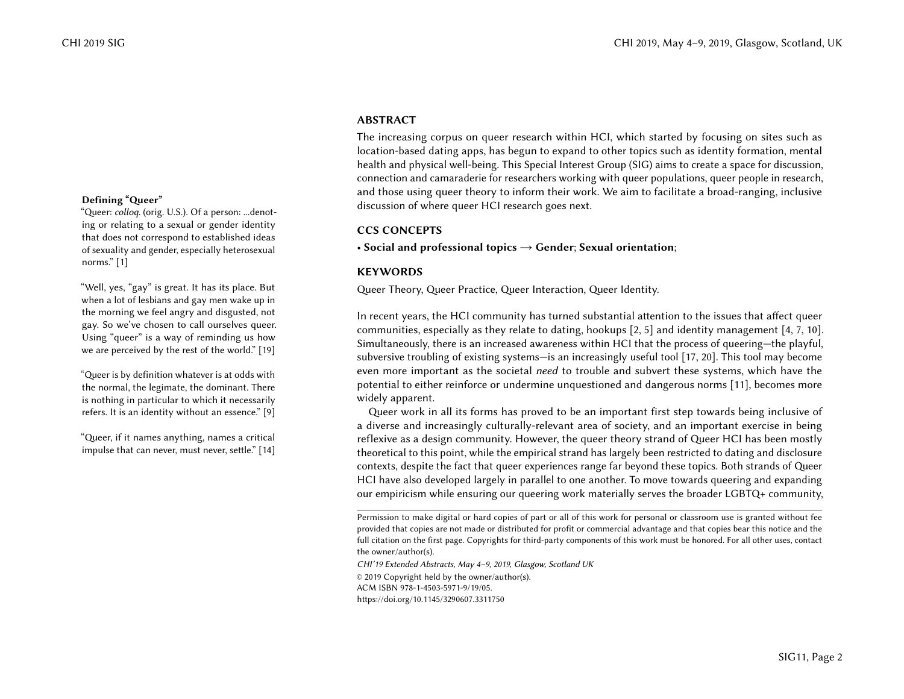#### ABSTRACT

The increasing corpus on queer research within HCI, which started by focusing on sites such as location-based dating apps, has begun to expand to other topics such as identity formation, mental health and physical well-being. This Special Interest Group (SIG) aims to create a space for discussion, connection and camaraderie for researchers working with queer populations, queer people in research, and those using queer theory to inform their work. We aim to facilitate a broad-ranging, inclusive discussion of where queer HCI research goes next.

#### CCS CONCEPTS

• Social and professional topics  $\rightarrow$  Gender; Sexual orientation;

#### **KEYWORDS**

Queer Theory, Queer Practice, Queer Interaction, Queer Identity.

In recent years, the HCI community has turned substantial attention to the issues that affect queer communities, especially as they relate to dating, hookups [\[2,](#page-2-1) [5\]](#page-3-3) and identity management [\[4,](#page-3-4) [7,](#page-3-5) [10\]](#page-3-6). Simultaneously, there is an increased awareness within HCI that the process of queering—the playful, subversive troubling of existing systems—is an increasingly useful tool [\[17,](#page-3-7) [20\]](#page-3-8). This tool may become even more important as the societal need to trouble and subvert these systems, which have the potential to either reinforce or undermine unquestioned and dangerous norms [\[11\]](#page-3-9), becomes more widely apparent.

Queer work in all its forms has proved to be an important first step towards being inclusive of a diverse and increasingly culturally-relevant area of society, and an important exercise in being reflexive as a design community. However, the queer theory strand of Queer HCI has been mostly theoretical to this point, while the empirical strand has largely been restricted to dating and disclosure contexts, despite the fact that queer experiences range far beyond these topics. Both strands of Queer HCI have also developed largely in parallel to one another. To move towards queering and expanding our empiricism while ensuring our queering work materially serves the broader LGBTQ+ community,

CHI'19 Extended Abstracts, May 4–9, 2019, Glasgow, Scotland UK © 2019 Copyright held by the owner/author(s).

ACM ISBN 978-1-4503-5971-9/19/05.

<https://doi.org/10.1145/3290607.3311750>

#### Defining "Queer"

"Queer: colloq. (orig. U.S.). Of a person: ...denoting or relating to a sexual or gender identity that does not correspond to established ideas of sexuality and gender, especially heterosexual norms." [\[1\]](#page-2-0)

"Well, yes, "gay" is great. It has its place. But when a lot of lesbians and gay men wake up in the morning we feel angry and disgusted, not gay. So we've chosen to call ourselves queer. Using "queer" is a way of reminding us how we are perceived by the rest of the world." [\[19\]](#page-3-0)

"Queer is by definition whatever is at odds with the normal, the legimate, the dominant. There is nothing in particular to which it necessarily refers. It is an identity without an essence." [\[9\]](#page-3-1)

"Queer, if it names anything, names a critical impulse that can never, must never, settle." [\[14\]](#page-3-2)

Permission to make digital or hard copies of part or all of this work for personal or classroom use is granted without fee provided that copies are not made or distributed for profit or commercial advantage and that copies bear this notice and the full citation on the first page. Copyrights for third-party components of this work must be honored. For all other uses, contact the owner/author(s).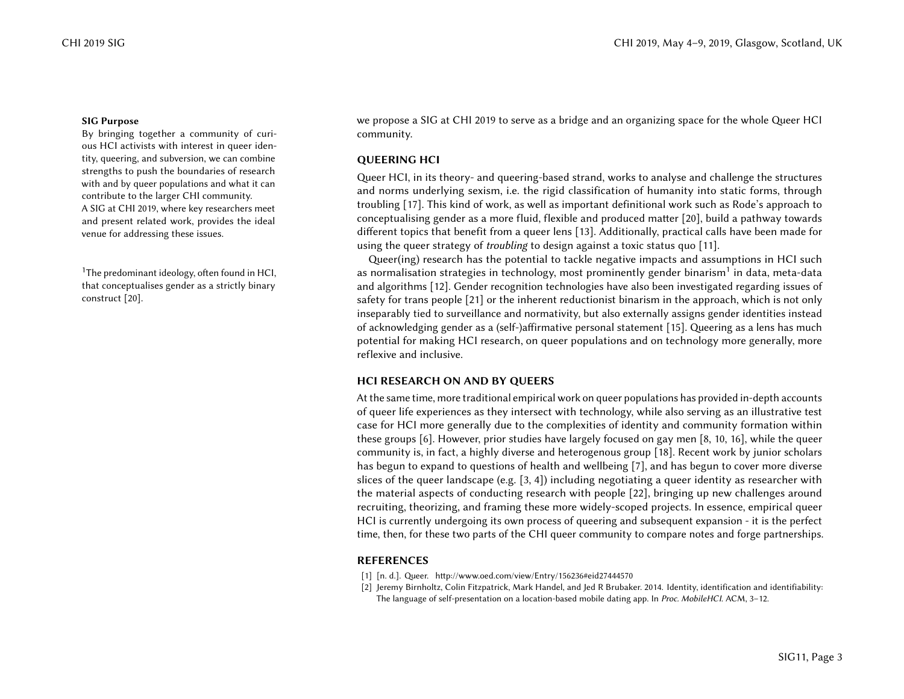#### SIG Purpose

By bringing together a community of curious HCI activists with interest in queer identity, queering, and subversion, we can combine strengths to push the boundaries of research with and by queer populations and what it can contribute to the larger CHI community. A SIG at CHI 2019, where key researchers meet and present related work, provides the ideal venue for addressing these issues.

<span id="page-2-2"></span>that conceptualises gender as a strictly binary construct [\[20\]](#page-3-8).

we propose a SIG at CHI 2019 to serve as a bridge and an organizing space for the whole Queer HCI community.

### QUEERING HCI

Queer HCI, in its theory- and queering-based strand, works to analyse and challenge the structures and norms underlying sexism, i.e. the rigid classification of humanity into static forms, through troubling [\[17\]](#page-3-7). This kind of work, as well as important definitional work such as Rode's approach to conceptualising gender as a more fluid, flexible and produced matter [\[20\]](#page-3-8), build a pathway towards different topics that benefit from a queer lens [\[13\]](#page-3-10). Additionally, practical calls have been made for using the queer strategy of troubling to design against a toxic status quo [\[11\]](#page-3-9).

Queer(ing) research has the potential to tackle negative impacts and assumptions in HCI such <sup>[1](#page-2-2)</sup>The predominant ideology, often found in HCI,  $\qquad \qquad \text{as normalisation strategies in technology, most prominently gender binary in data, meta-data}$ and algorithms [\[12\]](#page-3-11). Gender recognition technologies have also been investigated regarding issues of safety for trans people [\[21\]](#page-3-12) or the inherent reductionist binarism in the approach, which is not only inseparably tied to surveillance and normativity, but also externally assigns gender identities instead of acknowledging gender as a (self-)affirmative personal statement [\[15\]](#page-3-13). Queering as a lens has much potential for making HCI research, on queer populations and on technology more generally, more reflexive and inclusive.

# HCI RESEARCH ON AND BY QUEERS

At the same time, more traditional empirical work on queer populations has provided in-depth accounts of queer life experiences as they intersect with technology, while also serving as an illustrative test case for HCI more generally due to the complexities of identity and community formation within these groups [\[6\]](#page-3-14). However, prior studies have largely focused on gay men [\[8,](#page-3-15) [10,](#page-3-6) [16\]](#page-3-16), while the queer community is, in fact, a highly diverse and heterogenous group [\[18\]](#page-3-17). Recent work by junior scholars has begun to expand to questions of health and wellbeing [\[7\]](#page-3-5), and has begun to cover more diverse slices of the queer landscape (e.g. [\[3,](#page-3-18) [4\]](#page-3-4)) including negotiating a queer identity as researcher with the material aspects of conducting research with people [\[22\]](#page-3-19), bringing up new challenges around recruiting, theorizing, and framing these more widely-scoped projects. In essence, empirical queer HCI is currently undergoing its own process of queering and subsequent expansion - it is the perfect time, then, for these two parts of the CHI queer community to compare notes and forge partnerships.

# REFERENCES

- <span id="page-2-0"></span>[1] [n. d.]. Queer.<http://www.oed.com/view/Entry/156236#eid27444570>
- <span id="page-2-1"></span>[2] Jeremy Birnholtz, Colin Fitzpatrick, Mark Handel, and Jed R Brubaker. 2014. Identity, identification and identifiability: The language of self-presentation on a location-based mobile dating app. In Proc. MobileHCI. ACM, 3-12.